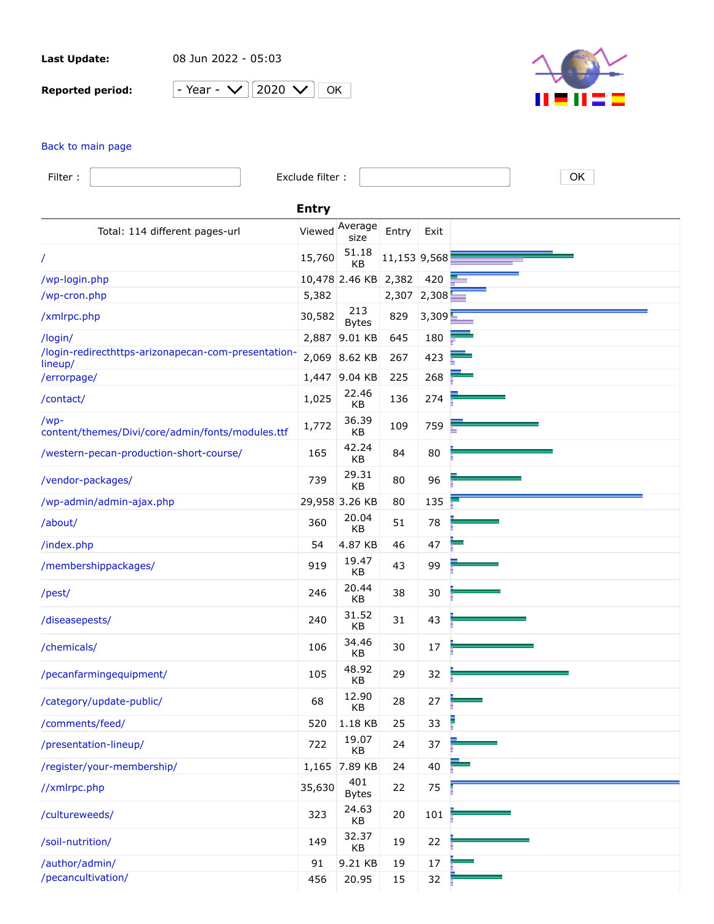**Last Update:** 08 Jun 2022 - 05:03

**Reported period:** - Year -  $\vee$  2020  $\vee$  0K



## [Back to main page](https://a2plvcpnl382807.prod.iad2.secureserver.net:2083/cpsess3275439984/awstats.pl?month=all&year=2020&config=arizonapecan.com&lang=en&ssl=1&framename=mainright)

| Filter:                                                        | Exclude filter: |                      |              |        | OK |  |
|----------------------------------------------------------------|-----------------|----------------------|--------------|--------|----|--|
| <b>Entry</b>                                                   |                 |                      |              |        |    |  |
| Total: 114 different pages-url                                 | Viewed          | Average<br>size      | Entry        | Exit   |    |  |
| /                                                              | 15,760          | 51.18<br>КB          | 11,153 9,568 |        |    |  |
| /wp-login.php                                                  |                 | 10,478 2.46 KB 2,382 |              | 420    |    |  |
| /wp-cron.php                                                   | 5,382           |                      | 2,307 2,308  |        |    |  |
| /xmlrpc.php                                                    | 30,582          | 213<br><b>Bytes</b>  | 829          | 3,309  |    |  |
| /login/                                                        | 2,887           | 9.01 KB              | 645          | 180    |    |  |
| /login-redirecthttps-arizonapecan-com-presentation-<br>lineup/ |                 | 2,069 8.62 KB        | 267          | 423    |    |  |
| /errorpage/                                                    |                 | 1,447 9.04 KB        | 225          | 268    |    |  |
| /contact/                                                      | 1,025           | 22.46<br>KB          | 136          | 274    |    |  |
| /wp-<br>content/themes/Divi/core/admin/fonts/modules.ttf       | 1,772           | 36.39<br>KB          | 109          | 759    |    |  |
| /western-pecan-production-short-course/                        | 165             | 42.24<br>KB          | 84           | 80     |    |  |
| /vendor-packages/                                              | 739             | 29.31<br>KB          | 80           | 96     |    |  |
| /wp-admin/admin-ajax.php                                       |                 | 29,958 3.26 KB       | 80           | 135    |    |  |
| /about/                                                        | 360             | 20.04<br>KB          | 51           | 78     |    |  |
| /index.php                                                     | 54              | 4.87 KB              | 46           | 47     |    |  |
| /membershippackages/                                           | 919             | 19.47<br>KB          | 43           | 99     |    |  |
| /pest/                                                         | 246             | 20.44<br>KB          | 38           | 30     |    |  |
| /diseasepests/                                                 | 240             | 31.52<br>KB          | 31           | 43     |    |  |
| /chemicals/                                                    | 106             | 34.46<br>KB          | 30           | 17     |    |  |
| /pecanfarmingequipment/                                        | 105             | 48.92<br>KB          | 29           | 32     |    |  |
| /category/update-public/                                       | 68              | 12.90<br>KB          | 28           | 27     |    |  |
| /comments/feed/                                                | 520             | 1.18 KB              | 25           | 33     |    |  |
| /presentation-lineup/                                          | 722             | 19.07<br>KB          | 24           | 37     |    |  |
| /register/your-membership/                                     | 1,165           | 7.89 KB              | 24           | 40     |    |  |
| //xmlrpc.php                                                   | 35,630          | 401<br><b>Bytes</b>  | 22           | 75     |    |  |
| /cultureweeds/                                                 | 323             | 24.63<br>KB          | 20           | 101    |    |  |
| /soil-nutrition/                                               | 149             | 32.37<br>КB          | 19           | 22     |    |  |
| /author/admin/                                                 | 91              | 9.21 KB              | 19           | $17\,$ |    |  |
| /pecancultivation/                                             | 456             | 20.95                | 15           | 32     |    |  |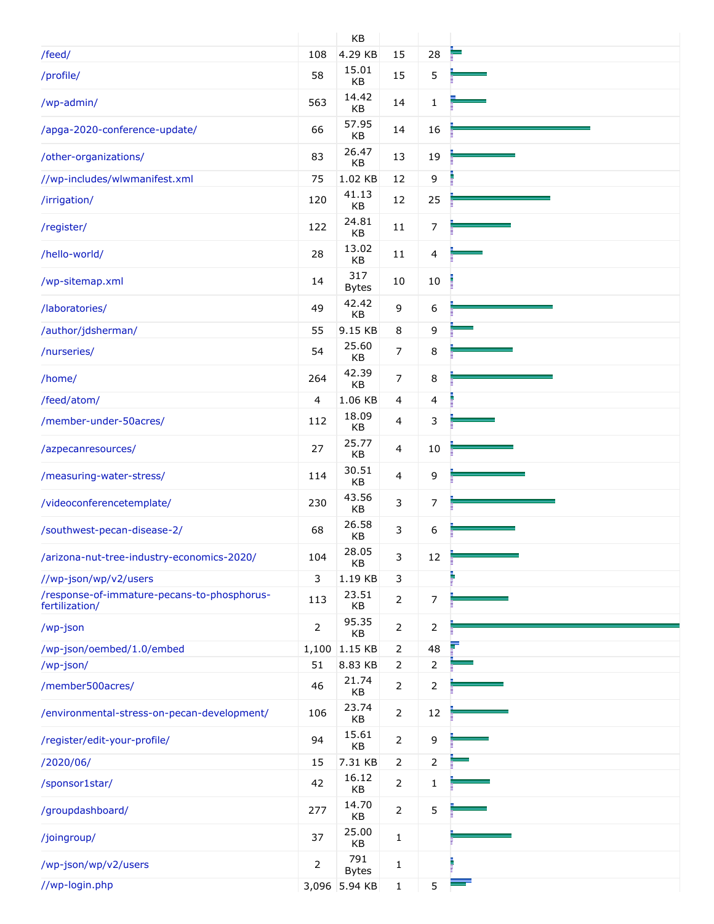|                                                               |                | KB                  |                |                |  |
|---------------------------------------------------------------|----------------|---------------------|----------------|----------------|--|
| /feed/                                                        | 108            | 4.29 KB             | 15             | 28             |  |
| /profile/                                                     | 58             | 15.01<br>KB         | 15             | 5              |  |
| /wp-admin/                                                    | 563            | 14.42<br><b>KB</b>  | 14             | $\mathbf{1}$   |  |
| /apga-2020-conference-update/                                 | 66             | 57.95<br>KB         | 14             | 16             |  |
| /other-organizations/                                         | 83             | 26.47<br>KB         | 13             | 19             |  |
| //wp-includes/wlwmanifest.xml                                 | 75             | 1.02 KB             | 12             | 9              |  |
| /irrigation/                                                  | 120            | 41.13<br>KB         | 12             | 25             |  |
| /register/                                                    | 122            | 24.81<br>KB         | 11             | 7              |  |
| /hello-world/                                                 | 28             | 13.02<br>KB         | $11\,$         | $\overline{4}$ |  |
| /wp-sitemap.xml                                               | 14             | 317<br><b>Bytes</b> | 10             | $10\,$         |  |
| /laboratories/                                                | 49             | 42.42<br>KB         | 9              | 6              |  |
| /author/jdsherman/                                            | 55             | 9.15 KB             | 8              | 9              |  |
| /nurseries/                                                   | 54             | 25.60<br>KB         | 7              | 8              |  |
| /home/                                                        | 264            | 42.39<br>KB         | $\overline{7}$ | 8              |  |
| /feed/atom/                                                   | 4              | 1.06 KB             | 4              | 4              |  |
| /member-under-50acres/                                        | 112            | 18.09<br>KB         | 4              | 3              |  |
| /azpecanresources/                                            | 27             | 25.77<br>KB         | 4              | $10\,$         |  |
| /measuring-water-stress/                                      | 114            | 30.51<br>KB         | 4              | 9              |  |
| /videoconferencetemplate/                                     | 230            | 43.56<br>KB         | 3              | $\overline{7}$ |  |
| /southwest-pecan-disease-2/                                   | 68             | 26.58<br>KB         | 3              | 6              |  |
| /arizona-nut-tree-industry-economics-2020/                    | 104            | 28.05<br>KB         | 3              | 12             |  |
| //wp-json/wp/v2/users                                         | 3              | 1.19 KB             | 3              |                |  |
| /response-of-immature-pecans-to-phosphorus-<br>fertilization/ | 113            | 23.51<br>KB         | $\overline{2}$ | $\overline{7}$ |  |
| /wp-json                                                      | $\overline{2}$ | 95.35<br>KB         | $\overline{2}$ | $\overline{2}$ |  |
| /wp-json/oembed/1.0/embed                                     | 1,100          | 1.15 KB             | 2              | 48             |  |
| /wp-json/                                                     | 51             | 8.83 KB             | $\overline{2}$ | $\overline{2}$ |  |
| /member500acres/                                              | 46             | 21.74<br>KB         | 2              | $\overline{2}$ |  |
| /environmental-stress-on-pecan-development/                   | 106            | 23.74<br>KB         | 2              | 12             |  |
| /register/edit-your-profile/                                  | 94             | 15.61<br>KB         | 2              | 9              |  |
| /2020/06/                                                     | 15             | 7.31 KB             | $\overline{2}$ | $\overline{2}$ |  |
| /sponsor1star/                                                | 42             | 16.12<br>KB         | $\overline{2}$ | $\mathbf{1}$   |  |
| /groupdashboard/                                              | 277            | 14.70<br>KB         | $\overline{2}$ | 5              |  |
| /joingroup/                                                   | 37             | 25.00<br>KB         | $\mathbf{1}$   |                |  |
| /wp-json/wp/v2/users                                          | 2              | 791<br><b>Bytes</b> | 1              |                |  |
| //wp-login.php                                                | 3,096          | 5.94 KB             | $\mathbf{1}$   | 5              |  |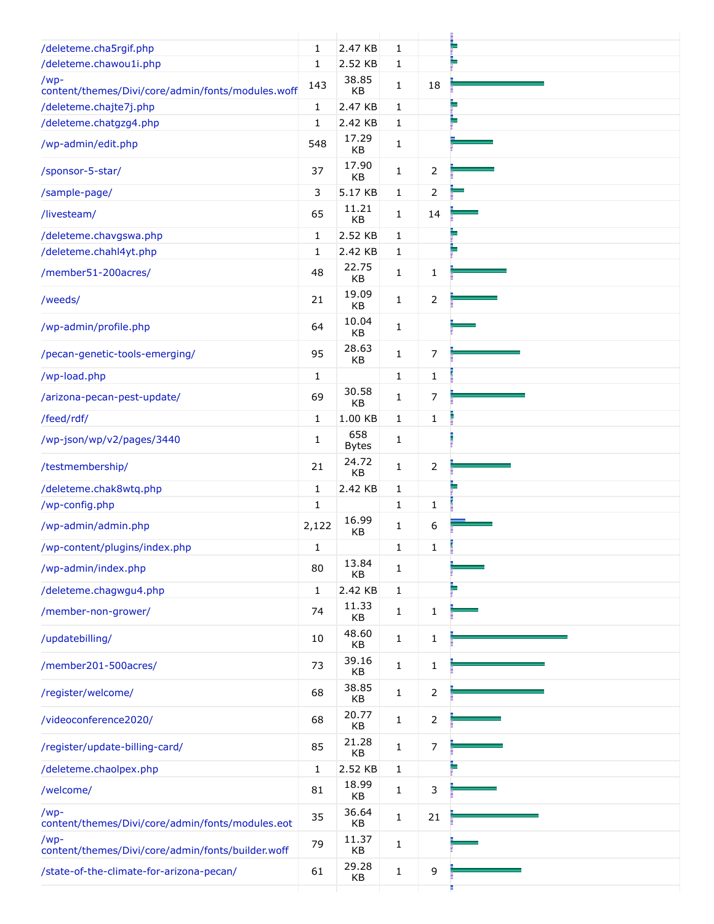| /deleteme.cha5rgif.php                                      | 1            | 2.47 KB             | $\mathbf{1}$ |                |  |
|-------------------------------------------------------------|--------------|---------------------|--------------|----------------|--|
| /deleteme.chawou1i.php                                      | 1            | 2.52 KB             | $\mathbf{1}$ |                |  |
| $/wp-$<br>content/themes/Divi/core/admin/fonts/modules.woff | 143          | 38.85<br>KB         | $\mathbf{1}$ | 18             |  |
| /deleteme.chajte7j.php                                      | $\mathbf{1}$ | 2.47 KB             | $\mathbf{1}$ |                |  |
| /deleteme.chatgzg4.php                                      | $\mathbf{1}$ | 2.42 KB             | $\mathbf{1}$ |                |  |
| /wp-admin/edit.php                                          | 548          | 17.29<br>KB         | $\mathbf{1}$ |                |  |
| /sponsor-5-star/                                            | 37           | 17.90<br>KB         | $\mathbf{1}$ | 2              |  |
| /sample-page/                                               | 3            | 5.17 KB             | $\mathbf 1$  | $\overline{2}$ |  |
| /livesteam/                                                 | 65           | 11.21<br>KB         | $\mathbf{1}$ | 14             |  |
| /deleteme.chavgswa.php                                      | $\mathbf{1}$ | 2.52 KB             | $\mathbf{1}$ |                |  |
| /deleteme.chahl4yt.php                                      | 1            | 2.42 KB             | $\mathbf 1$  |                |  |
| /member51-200acres/                                         | 48           | 22.75<br>KB         | $\mathbf{1}$ | 1              |  |
| /weeds/                                                     | 21           | 19.09<br>KB         | $\mathbf{1}$ | $\overline{2}$ |  |
| /wp-admin/profile.php                                       | 64           | 10.04<br>KB         | $\mathbf{1}$ |                |  |
| /pecan-genetic-tools-emerging/                              | 95           | 28.63<br>KB         | $\mathbf{1}$ | 7              |  |
| /wp-load.php                                                | $\mathbf{1}$ |                     | $\mathbf{1}$ | $\mathbf{1}$   |  |
| /arizona-pecan-pest-update/                                 | 69           | 30.58<br>KB         | $\mathbf{1}$ | 7              |  |
| /feed/rdf/                                                  | $\mathbf{1}$ | 1.00 KB             | $\mathbf{1}$ | $\mathbf{1}$   |  |
| /wp-json/wp/v2/pages/3440                                   | $\mathbf{1}$ | 658<br><b>Bytes</b> | $\mathbf{1}$ |                |  |
| /testmembership/                                            | 21           | 24.72<br>KB         | $\mathbf{1}$ | $\overline{2}$ |  |
| /deleteme.chak8wtq.php                                      | $\mathbf 1$  | 2.42 KB             | $\mathbf{1}$ |                |  |
| /wp-config.php                                              | $\mathbf 1$  |                     | $\mathbf{1}$ | 1              |  |
| /wp-admin/admin.php                                         | 2,122        | 16.99<br>KB         | $\mathbf 1$  | 6              |  |
| /wp-content/plugins/index.php                               | 1            |                     | $\mathbf{1}$ | 1              |  |
| /wp-admin/index.php                                         | 80           | 13.84<br>KB         | $\mathbf{1}$ |                |  |
| /deleteme.chagwgu4.php                                      | 1            | 2.42 KB             | $\mathbf{1}$ |                |  |
| /member-non-grower/                                         | 74           | 11.33<br>KB         | 1            | 1              |  |
| /updatebilling/                                             | 10           | 48.60<br>KB         | $\mathbf{1}$ | $\mathbf{1}$   |  |
| /member201-500acres/                                        | 73           | 39.16<br>KB         | $\mathbf{1}$ | $\mathbf{1}$   |  |
| /register/welcome/                                          | 68           | 38.85<br>KB         | $\mathbf{1}$ | 2              |  |
| /videoconference2020/                                       | 68           | 20.77<br>KB         | $\mathbf{1}$ | 2              |  |
| /register/update-billing-card/                              | 85           | 21.28<br>KB         | $\mathbf{1}$ | 7              |  |
| /deleteme.chaolpex.php                                      | 1            | 2.52 KB             | $\mathbf{1}$ |                |  |
| /welcome/                                                   | 81           | 18.99<br>KB         | $\mathbf{1}$ | 3              |  |
| $/wp-$<br>content/themes/Divi/core/admin/fonts/modules.eot  | 35           | 36.64<br>KB         | $\mathbf{1}$ | 21             |  |
| $/wp-$<br>content/themes/Divi/core/admin/fonts/builder.woff | 79           | 11.37<br>KB         | $\mathbf{1}$ |                |  |
| /state-of-the-climate-for-arizona-pecan/                    | 61           | 29.28<br>KB         | $\mathbf{1}$ | 9              |  |
|                                                             |              |                     |              |                |  |